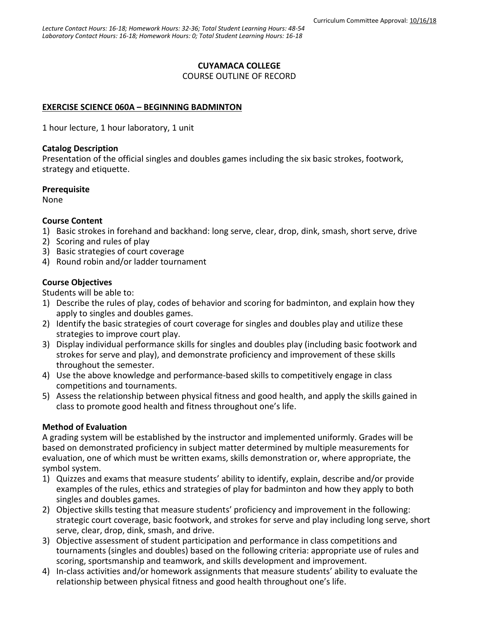### **CUYAMACA COLLEGE**

COURSE OUTLINE OF RECORD

### **EXERCISE SCIENCE 060A – BEGINNING BADMINTON**

1 hour lecture, 1 hour laboratory, 1 unit

#### **Catalog Description**

Presentation of the official singles and doubles games including the six basic strokes, footwork, strategy and etiquette.

#### **Prerequisite**

None

#### **Course Content**

- 1) Basic strokes in forehand and backhand: long serve, clear, drop, dink, smash, short serve, drive
- 2) Scoring and rules of play
- 3) Basic strategies of court coverage
- 4) Round robin and/or ladder tournament

### **Course Objectives**

Students will be able to:

- 1) Describe the rules of play, codes of behavior and scoring for badminton, and explain how they apply to singles and doubles games.
- 2) Identify the basic strategies of court coverage for singles and doubles play and utilize these strategies to improve court play.
- 3) Display individual performance skills for singles and doubles play (including basic footwork and strokes for serve and play), and demonstrate proficiency and improvement of these skills throughout the semester.
- 4) Use the above knowledge and performance-based skills to competitively engage in class competitions and tournaments.
- 5) Assess the relationship between physical fitness and good health, and apply the skills gained in class to promote good health and fitness throughout one's life.

#### **Method of Evaluation**

A grading system will be established by the instructor and implemented uniformly. Grades will be based on demonstrated proficiency in subject matter determined by multiple measurements for evaluation, one of which must be written exams, skills demonstration or, where appropriate, the symbol system.

- 1) Quizzes and exams that measure students' ability to identify, explain, describe and/or provide examples of the rules, ethics and strategies of play for badminton and how they apply to both singles and doubles games.
- 2) Objective skills testing that measure students' proficiency and improvement in the following: strategic court coverage, basic footwork, and strokes for serve and play including long serve, short serve, clear, drop, dink, smash, and drive.
- 3) Objective assessment of student participation and performance in class competitions and tournaments (singles and doubles) based on the following criteria: appropriate use of rules and scoring, sportsmanship and teamwork, and skills development and improvement.
- 4) In-class activities and/or homework assignments that measure students' ability to evaluate the relationship between physical fitness and good health throughout one's life.